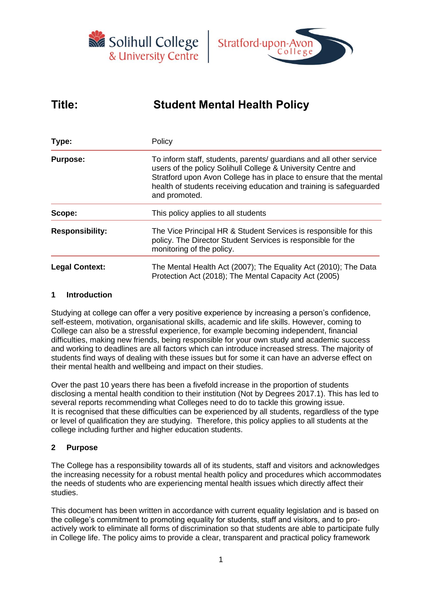



# **Title: Student Mental Health Policy**

| Type:                  | Policy                                                                                                                                                                                                                                                                                           |  |  |  |
|------------------------|--------------------------------------------------------------------------------------------------------------------------------------------------------------------------------------------------------------------------------------------------------------------------------------------------|--|--|--|
| <b>Purpose:</b>        | To inform staff, students, parents/ guardians and all other service<br>users of the policy Solihull College & University Centre and<br>Stratford upon Avon College has in place to ensure that the mental<br>health of students receiving education and training is safeguarded<br>and promoted. |  |  |  |
| Scope:                 | This policy applies to all students<br>The Vice Principal HR & Student Services is responsible for this<br>policy. The Director Student Services is responsible for the<br>monitoring of the policy.                                                                                             |  |  |  |
| <b>Responsibility:</b> |                                                                                                                                                                                                                                                                                                  |  |  |  |
| <b>Legal Context:</b>  | The Mental Health Act (2007); The Equality Act (2010); The Data<br>Protection Act (2018); The Mental Capacity Act (2005)                                                                                                                                                                         |  |  |  |

#### **1 Introduction**

Studying at college can offer a very positive experience by increasing a person's confidence, self-esteem, motivation, organisational skills, academic and life skills. However, coming to College can also be a stressful experience, for example becoming independent, financial difficulties, making new friends, being responsible for your own study and academic success and working to deadlines are all factors which can introduce increased stress. The majority of students find ways of dealing with these issues but for some it can have an adverse effect on their mental health and wellbeing and impact on their studies.

Over the past 10 years there has been a fivefold increase in the proportion of students disclosing a mental health condition to their institution (Not by Degrees 2017.1). This has led to several reports recommending what Colleges need to do to tackle this growing issue. It is recognised that these difficulties can be experienced by all students, regardless of the type or level of qualification they are studying. Therefore, this policy applies to all students at the college including further and higher education students.

## **2 Purpose**

The College has a responsibility towards all of its students, staff and visitors and acknowledges the increasing necessity for a robust mental health policy and procedures which accommodates the needs of students who are experiencing mental health issues which directly affect their studies.

This document has been written in accordance with current equality legislation and is based on the college's commitment to promoting equality for students, staff and visitors, and to proactively work to eliminate all forms of discrimination so that students are able to participate fully in College life. The policy aims to provide a clear, transparent and practical policy framework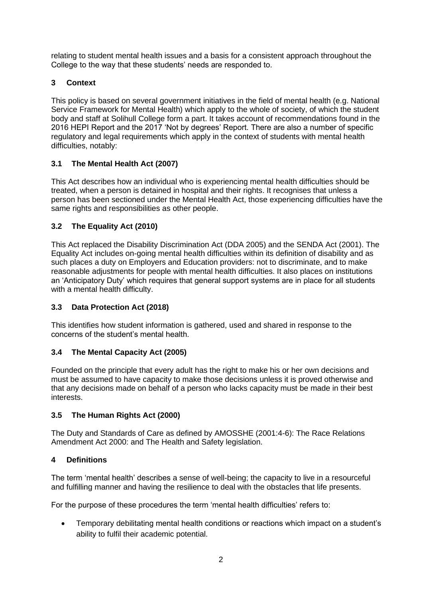relating to student mental health issues and a basis for a consistent approach throughout the College to the way that these students' needs are responded to.

## **3 Context**

This policy is based on several government initiatives in the field of mental health (e.g. National Service Framework for Mental Health) which apply to the whole of society, of which the student body and staff at Solihull College form a part. It takes account of recommendations found in the 2016 HEPI Report and the 2017 'Not by degrees' Report. There are also a number of specific regulatory and legal requirements which apply in the context of students with mental health difficulties, notably:

## **3.1 The Mental Health Act (2007)**

This Act describes how an individual who is experiencing mental health difficulties should be treated, when a person is detained in hospital and their rights. It recognises that unless a person has been sectioned under the Mental Health Act, those experiencing difficulties have the same rights and responsibilities as other people.

## **3.2 The Equality Act (2010)**

This Act replaced the Disability Discrimination Act (DDA 2005) and the SENDA Act (2001). The Equality Act includes on-going mental health difficulties within its definition of disability and as such places a duty on Employers and Education providers: not to discriminate, and to make reasonable adjustments for people with mental health difficulties. It also places on institutions an 'Anticipatory Duty' which requires that general support systems are in place for all students with a mental health difficulty.

## **3.3 Data Protection Act (2018)**

This identifies how student information is gathered, used and shared in response to the concerns of the student's mental health.

## **3.4 The Mental Capacity Act (2005)**

Founded on the principle that every adult has the right to make his or her own decisions and must be assumed to have capacity to make those decisions unless it is proved otherwise and that any decisions made on behalf of a person who lacks capacity must be made in their best interests.

## **3.5 The Human Rights Act (2000)**

The Duty and Standards of Care as defined by AMOSSHE (2001:4-6): The Race Relations Amendment Act 2000: and The Health and Safety legislation.

## **4 Definitions**

The term 'mental health' describes a sense of well-being; the capacity to live in a resourceful and fulfilling manner and having the resilience to deal with the obstacles that life presents.

For the purpose of these procedures the term 'mental health difficulties' refers to:

• Temporary debilitating mental health conditions or reactions which impact on a student's ability to fulfil their academic potential.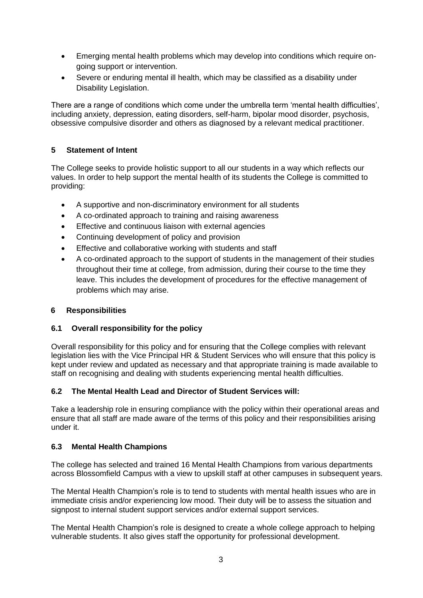- Emerging mental health problems which may develop into conditions which require ongoing support or intervention.
- Severe or enduring mental ill health, which may be classified as a disability under Disability Legislation.

There are a range of conditions which come under the umbrella term 'mental health difficulties', including anxiety, depression, eating disorders, self-harm, bipolar mood disorder, psychosis, obsessive compulsive disorder and others as diagnosed by a relevant medical practitioner.

## **5 Statement of Intent**

The College seeks to provide holistic support to all our students in a way which reflects our values. In order to help support the mental health of its students the College is committed to providing:

- A supportive and non-discriminatory environment for all students
- A co-ordinated approach to training and raising awareness
- Effective and continuous liaison with external agencies
- Continuing development of policy and provision
- Effective and collaborative working with students and staff
- A co-ordinated approach to the support of students in the management of their studies throughout their time at college, from admission, during their course to the time they leave. This includes the development of procedures for the effective management of problems which may arise.

## **6 Responsibilities**

## **6.1 Overall responsibility for the policy**

Overall responsibility for this policy and for ensuring that the College complies with relevant legislation lies with the Vice Principal HR & Student Services who will ensure that this policy is kept under review and updated as necessary and that appropriate training is made available to staff on recognising and dealing with students experiencing mental health difficulties.

## **6.2 The Mental Health Lead and Director of Student Services will:**

Take a leadership role in ensuring compliance with the policy within their operational areas and ensure that all staff are made aware of the terms of this policy and their responsibilities arising under it.

#### **6.3 Mental Health Champions**

The college has selected and trained 16 Mental Health Champions from various departments across Blossomfield Campus with a view to upskill staff at other campuses in subsequent years.

The Mental Health Champion's role is to tend to students with mental health issues who are in immediate crisis and/or experiencing low mood. Their duty will be to assess the situation and signpost to internal student support services and/or external support services.

The Mental Health Champion's role is designed to create a whole college approach to helping vulnerable students. It also gives staff the opportunity for professional development.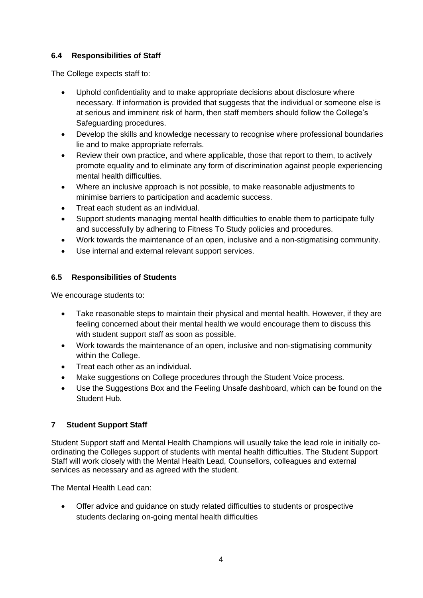## **6.4 Responsibilities of Staff**

The College expects staff to:

- Uphold confidentiality and to make appropriate decisions about disclosure where necessary. If information is provided that suggests that the individual or someone else is at serious and imminent risk of harm, then staff members should follow the College's Safeguarding procedures.
- Develop the skills and knowledge necessary to recognise where professional boundaries lie and to make appropriate referrals.
- Review their own practice, and where applicable, those that report to them, to actively promote equality and to eliminate any form of discrimination against people experiencing mental health difficulties.
- Where an inclusive approach is not possible, to make reasonable adjustments to minimise barriers to participation and academic success.
- Treat each student as an individual.
- Support students managing mental health difficulties to enable them to participate fully and successfully by adhering to Fitness To Study policies and procedures.
- Work towards the maintenance of an open, inclusive and a non-stigmatising community.
- Use internal and external relevant support services.

# **6.5 Responsibilities of Students**

We encourage students to:

- Take reasonable steps to maintain their physical and mental health. However, if they are feeling concerned about their mental health we would encourage them to discuss this with student support staff as soon as possible.
- Work towards the maintenance of an open, inclusive and non-stigmatising community within the College.
- Treat each other as an individual.
- Make suggestions on College procedures through the Student Voice process.
- Use the Suggestions Box and the Feeling Unsafe dashboard, which can be found on the Student Hub.

# **7 Student Support Staff**

Student Support staff and Mental Health Champions will usually take the lead role in initially coordinating the Colleges support of students with mental health difficulties. The Student Support Staff will work closely with the Mental Health Lead, Counsellors, colleagues and external services as necessary and as agreed with the student.

The Mental Health Lead can:

• Offer advice and guidance on study related difficulties to students or prospective students declaring on-going mental health difficulties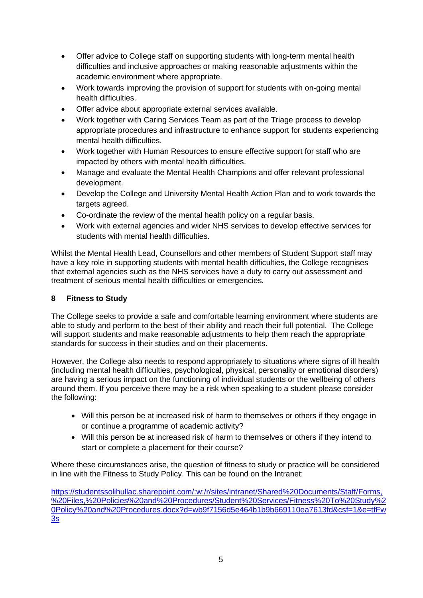- Offer advice to College staff on supporting students with long-term mental health difficulties and inclusive approaches or making reasonable adjustments within the academic environment where appropriate.
- Work towards improving the provision of support for students with on-going mental health difficulties.
- Offer advice about appropriate external services available.
- Work together with Caring Services Team as part of the Triage process to develop appropriate procedures and infrastructure to enhance support for students experiencing mental health difficulties.
- Work together with Human Resources to ensure effective support for staff who are impacted by others with mental health difficulties.
- Manage and evaluate the Mental Health Champions and offer relevant professional development.
- Develop the College and University Mental Health Action Plan and to work towards the targets agreed.
- Co-ordinate the review of the mental health policy on a regular basis.
- Work with external agencies and wider NHS services to develop effective services for students with mental health difficulties.

Whilst the Mental Health Lead, Counsellors and other members of Student Support staff may have a key role in supporting students with mental health difficulties, the College recognises that external agencies such as the NHS services have a duty to carry out assessment and treatment of serious mental health difficulties or emergencies.

## **8 Fitness to Study**

The College seeks to provide a safe and comfortable learning environment where students are able to study and perform to the best of their ability and reach their full potential. The College will support students and make reasonable adjustments to help them reach the appropriate standards for success in their studies and on their placements.

However, the College also needs to respond appropriately to situations where signs of ill health (including mental health difficulties, psychological, physical, personality or emotional disorders) are having a serious impact on the functioning of individual students or the wellbeing of others around them. If you perceive there may be a risk when speaking to a student please consider the following:

- Will this person be at increased risk of harm to themselves or others if they engage in or continue a programme of academic activity?
- Will this person be at increased risk of harm to themselves or others if they intend to start or complete a placement for their course?

Where these circumstances arise, the question of fitness to study or practice will be considered in line with the Fitness to Study Policy. This can be found on the Intranet:

[https://studentssolihullac.sharepoint.com/:w:/r/sites/intranet/Shared%20Documents/Staff/Forms,](https://studentssolihullac.sharepoint.com/:w:/r/sites/intranet/Shared%20Documents/Staff/Forms,%20Files,%20Policies%20and%20Procedures/Student%20Services/Fitness%20To%20Study%20Policy%20and%20Procedures.docx?d=wb9f7156d5e464b1b9b669110ea7613fd&csf=1&e=tfFw3s) [%20Files,%20Policies%20and%20Procedures/Student%20Services/Fitness%20To%20Study%2](https://studentssolihullac.sharepoint.com/:w:/r/sites/intranet/Shared%20Documents/Staff/Forms,%20Files,%20Policies%20and%20Procedures/Student%20Services/Fitness%20To%20Study%20Policy%20and%20Procedures.docx?d=wb9f7156d5e464b1b9b669110ea7613fd&csf=1&e=tfFw3s) [0Policy%20and%20Procedures.docx?d=wb9f7156d5e464b1b9b669110ea7613fd&csf=1&e=tfFw](https://studentssolihullac.sharepoint.com/:w:/r/sites/intranet/Shared%20Documents/Staff/Forms,%20Files,%20Policies%20and%20Procedures/Student%20Services/Fitness%20To%20Study%20Policy%20and%20Procedures.docx?d=wb9f7156d5e464b1b9b669110ea7613fd&csf=1&e=tfFw3s) [3s](https://studentssolihullac.sharepoint.com/:w:/r/sites/intranet/Shared%20Documents/Staff/Forms,%20Files,%20Policies%20and%20Procedures/Student%20Services/Fitness%20To%20Study%20Policy%20and%20Procedures.docx?d=wb9f7156d5e464b1b9b669110ea7613fd&csf=1&e=tfFw3s)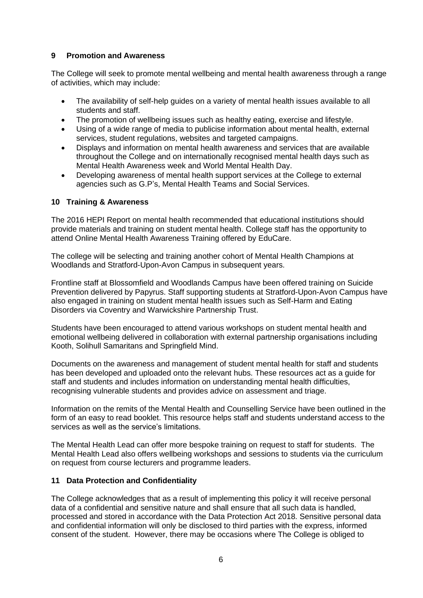#### **9 Promotion and Awareness**

The College will seek to promote mental wellbeing and mental health awareness through a range of activities, which may include:

- The availability of self-help guides on a variety of mental health issues available to all students and staff.
- The promotion of wellbeing issues such as healthy eating, exercise and lifestyle.
- Using of a wide range of media to publicise information about mental health, external services, student regulations, websites and targeted campaigns.
- Displays and information on mental health awareness and services that are available throughout the College and on internationally recognised mental health days such as Mental Health Awareness week and World Mental Health Day.
- Developing awareness of mental health support services at the College to external agencies such as G.P's, Mental Health Teams and Social Services.

#### **10 Training & Awareness**

The 2016 HEPI Report on mental health recommended that educational institutions should provide materials and training on student mental health. College staff has the opportunity to attend Online Mental Health Awareness Training offered by EduCare.

The college will be selecting and training another cohort of Mental Health Champions at Woodlands and Stratford-Upon-Avon Campus in subsequent years.

Frontline staff at Blossomfield and Woodlands Campus have been offered training on Suicide Prevention delivered by Papyrus. Staff supporting students at Stratford-Upon-Avon Campus have also engaged in training on student mental health issues such as Self-Harm and Eating Disorders via Coventry and Warwickshire Partnership Trust.

Students have been encouraged to attend various workshops on student mental health and emotional wellbeing delivered in collaboration with external partnership organisations including Kooth, Solihull Samaritans and Springfield Mind.

Documents on the awareness and management of student mental health for staff and students has been developed and uploaded onto the relevant hubs. These resources act as a guide for staff and students and includes information on understanding mental health difficulties, recognising vulnerable students and provides advice on assessment and triage.

Information on the remits of the Mental Health and Counselling Service have been outlined in the form of an easy to read booklet. This resource helps staff and students understand access to the services as well as the service's limitations.

The Mental Health Lead can offer more bespoke training on request to staff for students. The Mental Health Lead also offers wellbeing workshops and sessions to students via the curriculum on request from course lecturers and programme leaders.

#### **11 Data Protection and Confidentiality**

The College acknowledges that as a result of implementing this policy it will receive personal data of a confidential and sensitive nature and shall ensure that all such data is handled, processed and stored in accordance with the Data Protection Act 2018. Sensitive personal data and confidential information will only be disclosed to third parties with the express, informed consent of the student. However, there may be occasions where The College is obliged to